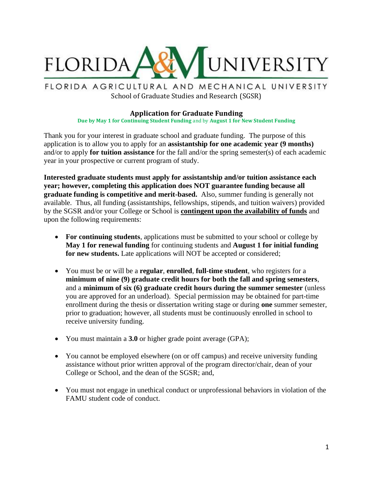

FLORIDA AGRICULTURAL AND MECHANICAL UNIVERSITY School of Graduate Studies and Research (SGSR)

## **Application for Graduate Funding**

**Due by May 1 for Continuing Student Funding** and by **August 1 for New Student Funding**

Thank you for your interest in graduate school and graduate funding. The purpose of this application is to allow you to apply for an **assistantship for one academic year (9 months)** and/or to apply **for tuition assistance** for the fall and/or the spring semester(s) of each academic year in your prospective or current program of study.

**Interested graduate students must apply for assistantship and/or tuition assistance each year; however, completing this application does NOT guarantee funding because all graduate funding is competitive and merit-based.** Also, summer funding is generally not available. Thus, all funding (assistantships, fellowships, stipends, and tuition waivers) provided by the SGSR and/or your College or School is **contingent upon the availability of funds** and upon the following requirements:

- For continuing students, applications must be submitted to your school or college by **May 1 for renewal funding** for continuing students and **August 1 for initial funding for new students.** Late applications will NOT be accepted or considered;
- You must be or will be a **regular**, **enrolled**, **full-time student**, who registers for a **minimum of nine (9) graduate credit hours for both the fall and spring semesters**, and a **minimum of six (6) graduate credit hours during the summer semester** (unless you are approved for an underload). Special permission may be obtained for part-time enrollment during the thesis or dissertation writing stage or during **one** summer semester, prior to graduation; however, all students must be continuously enrolled in school to receive university funding.
- You must maintain a **3.0** or higher grade point average (GPA);
- You cannot be employed elsewhere (on or off campus) and receive university funding assistance without prior written approval of the program director/chair, dean of your College or School, and the dean of the SGSR; and,
- You must not engage in unethical conduct or unprofessional behaviors in violation of the FAMU student code of conduct.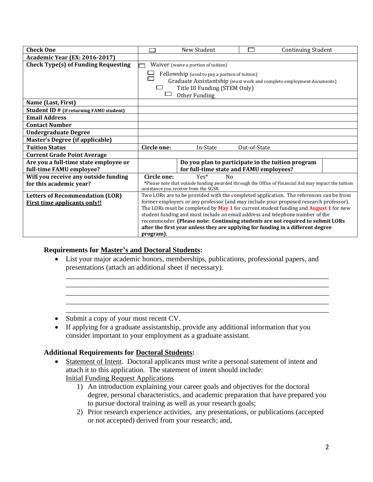| <b>Check One</b>                                |                                                                                             | New Student                             | <b>Continuing Student</b>                                                                            |
|-------------------------------------------------|---------------------------------------------------------------------------------------------|-----------------------------------------|------------------------------------------------------------------------------------------------------|
| <b>Academic Year (EX: 2016-2017)</b>            |                                                                                             |                                         |                                                                                                      |
| <b>Check Type(s) of Funding Requesting</b>      | Waiver (waive a portion of tuition)                                                         |                                         |                                                                                                      |
|                                                 | Fellowship (used to pay a portion of tuition)                                               |                                         |                                                                                                      |
|                                                 | Graduate Assistantship (must work and complete employment documents)                        |                                         |                                                                                                      |
|                                                 | Title III Funding (STEM Only)                                                               |                                         |                                                                                                      |
|                                                 | Other Funding                                                                               |                                         |                                                                                                      |
| Name (Last, First)                              |                                                                                             |                                         |                                                                                                      |
| <b>Student ID # (if returning FAMU student)</b> |                                                                                             |                                         |                                                                                                      |
| <b>Email Address</b>                            |                                                                                             |                                         |                                                                                                      |
| <b>Contact Number</b>                           |                                                                                             |                                         |                                                                                                      |
| <b>Undergraduate Degree</b>                     |                                                                                             |                                         |                                                                                                      |
| <b>Master's Degree (if applicable)</b>          |                                                                                             |                                         |                                                                                                      |
| <b>Tuition Status</b>                           | Circle one:                                                                                 | In-State                                | Out-of-State                                                                                         |
| <b>Current Grade Point Average</b>              |                                                                                             |                                         |                                                                                                      |
| Are you a full-time state employee or           |                                                                                             |                                         | Do you plan to participate in the tuition program                                                    |
| full-time FAMU employee?                        |                                                                                             | for full-time state and FAMU employees? |                                                                                                      |
| Will you receive any outside funding            | Circle one:                                                                                 | $Yes*$<br>N <sub>0</sub>                |                                                                                                      |
| for this academic year?                         |                                                                                             |                                         | *Please note that outside funding awarded through the Office of Financial Aid may impact the tuition |
| <b>Letters of Recommendation (LOR)</b>          |                                                                                             | assistance you receive from the SGSR.   | Two LORs are to be provided with the completed application. The references can be from               |
| <b>First time applicants only!!</b>             | former employers or any professor (and may include your proposed research professor).       |                                         |                                                                                                      |
|                                                 | The LORs must be completed by May 1 for current student funding and <b>August 1</b> for new |                                         |                                                                                                      |
|                                                 | student funding and must include an email address and telephone number of the               |                                         |                                                                                                      |
|                                                 | recommender. (Please note: Continuing students are not required to submit LORs              |                                         |                                                                                                      |
|                                                 | after the first year unless they are applying for funding in a different degree             |                                         |                                                                                                      |
|                                                 | program).                                                                                   |                                         |                                                                                                      |

## **Requirements for Master's and Doctoral Students:**

• List your major academic honors, memberships, publications, professional papers, and presentations (attach an additional sheet if necessary).

\_\_\_\_\_\_\_\_\_\_\_\_\_\_\_\_\_\_\_\_\_\_\_\_\_\_\_\_\_\_\_\_\_\_\_\_\_\_\_\_\_\_\_\_\_\_\_\_\_\_\_\_\_\_\_\_\_\_\_\_\_\_\_\_\_\_\_\_\_\_\_\_ \_\_\_\_\_\_\_\_\_\_\_\_\_\_\_\_\_\_\_\_\_\_\_\_\_\_\_\_\_\_\_\_\_\_\_\_\_\_\_\_\_\_\_\_\_\_\_\_\_\_\_\_\_\_\_\_\_\_\_\_\_\_\_\_\_\_\_\_\_\_\_\_ \_\_\_\_\_\_\_\_\_\_\_\_\_\_\_\_\_\_\_\_\_\_\_\_\_\_\_\_\_\_\_\_\_\_\_\_\_\_\_\_\_\_\_\_\_\_\_\_\_\_\_\_\_\_\_\_\_\_\_\_\_\_\_\_\_\_\_\_\_\_\_\_ \_\_\_\_\_\_\_\_\_\_\_\_\_\_\_\_\_\_\_\_\_\_\_\_\_\_\_\_\_\_\_\_\_\_\_\_\_\_\_\_\_\_\_\_\_\_\_\_\_\_\_\_\_\_\_\_\_\_\_\_\_\_\_\_\_\_\_\_\_\_\_\_ \_\_\_\_\_\_\_\_\_\_\_\_\_\_\_\_\_\_\_\_\_\_\_\_\_\_\_\_\_\_\_\_\_\_\_\_\_\_\_\_\_\_\_\_\_\_\_\_\_\_\_\_\_\_\_\_\_\_\_\_\_\_\_\_\_\_\_\_\_\_\_\_

- Submit a copy of your most recent CV.
- If applying for a graduate assistantship, provide any additional information that you consider important to your employment as a graduate assistant.

## **Additional Requirements for Doctoral Students:**

- Statement of Intent. Doctoral applicants must write a personal statement of intent and attach it to this application. The statement of intent should include: Initial Funding Request Applications
	- 1) An introduction explaining your career goals and objectives for the doctoral degree, personal characteristics, and academic preparation that have prepared you to pursue doctoral training as well as your research goals;
	- 2) Prior research experience activities, any presentations, or publications (accepted or not accepted) derived from your research; and,